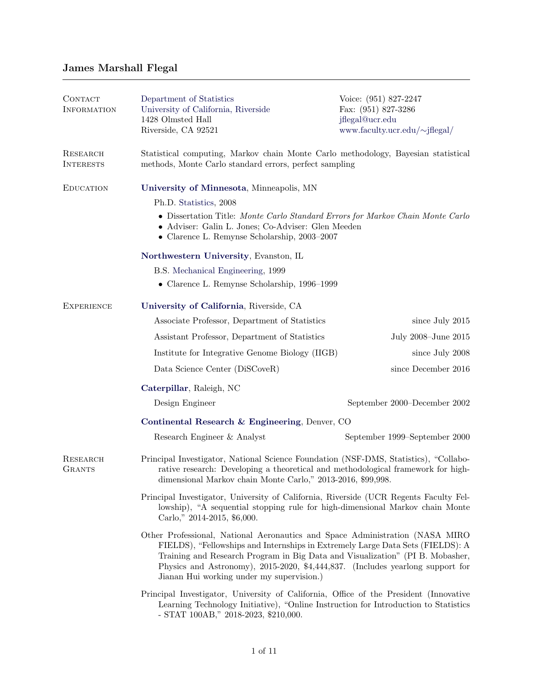## James Marshall Flegal

| <b>CONTACT</b><br><b>INFORMATION</b> | Department of Statistics<br>University of California, Riverside<br>1428 Olmsted Hall<br>Riverside, CA 92521                                                                                                                                                                                                                                                                    | Voice: (951) 827-2247<br>Fax: (951) 827-3286<br>jflegal@ucr.edu<br>www.faculty.ucr.edu/~jflegal/                                            |  |  |  |
|--------------------------------------|--------------------------------------------------------------------------------------------------------------------------------------------------------------------------------------------------------------------------------------------------------------------------------------------------------------------------------------------------------------------------------|---------------------------------------------------------------------------------------------------------------------------------------------|--|--|--|
| <b>RESEARCH</b><br><b>INTERESTS</b>  |                                                                                                                                                                                                                                                                                                                                                                                | Statistical computing, Markov chain Monte Carlo methodology, Bayesian statistical<br>methods, Monte Carlo standard errors, perfect sampling |  |  |  |
| <b>EDUCATION</b>                     | University of Minnesota, Minneapolis, MN                                                                                                                                                                                                                                                                                                                                       |                                                                                                                                             |  |  |  |
|                                      | Ph.D. Statistics, 2008                                                                                                                                                                                                                                                                                                                                                         |                                                                                                                                             |  |  |  |
|                                      | • Dissertation Title: Monte Carlo Standard Errors for Markov Chain Monte Carlo<br>• Adviser: Galin L. Jones; Co-Adviser: Glen Meeden<br>$\bullet\,$ Clarence L. Remynse Scholarship, 2003–2007                                                                                                                                                                                 |                                                                                                                                             |  |  |  |
|                                      | Northwestern University, Evanston, IL                                                                                                                                                                                                                                                                                                                                          |                                                                                                                                             |  |  |  |
|                                      | B.S. Mechanical Engineering, 1999                                                                                                                                                                                                                                                                                                                                              |                                                                                                                                             |  |  |  |
|                                      | $\bullet$ Clarence L. Remynse Scholarship, 1996–1999                                                                                                                                                                                                                                                                                                                           |                                                                                                                                             |  |  |  |
| <b>EXPERIENCE</b>                    | University of California, Riverside, CA                                                                                                                                                                                                                                                                                                                                        |                                                                                                                                             |  |  |  |
|                                      | Associate Professor, Department of Statistics                                                                                                                                                                                                                                                                                                                                  | since July 2015                                                                                                                             |  |  |  |
|                                      | Assistant Professor, Department of Statistics                                                                                                                                                                                                                                                                                                                                  | July 2008-June 2015                                                                                                                         |  |  |  |
|                                      | Institute for Integrative Genome Biology (IIGB)                                                                                                                                                                                                                                                                                                                                | since July 2008                                                                                                                             |  |  |  |
|                                      | Data Science Center (DiSCoveR)                                                                                                                                                                                                                                                                                                                                                 | since December 2016                                                                                                                         |  |  |  |
|                                      | Caterpillar, Raleigh, NC                                                                                                                                                                                                                                                                                                                                                       |                                                                                                                                             |  |  |  |
|                                      | Design Engineer                                                                                                                                                                                                                                                                                                                                                                | September 2000-December 2002                                                                                                                |  |  |  |
|                                      | Continental Research & Engineering, Denver, CO                                                                                                                                                                                                                                                                                                                                 |                                                                                                                                             |  |  |  |
|                                      | Research Engineer & Analyst                                                                                                                                                                                                                                                                                                                                                    | September 1999–September 2000                                                                                                               |  |  |  |
| <b>RESEARCH</b><br><b>GRANTS</b>     | Principal Investigator, National Science Foundation (NSF-DMS, Statistics), "Collabo-<br>rative research: Developing a theoretical and methodological framework for high-<br>dimensional Markov chain Monte Carlo," 2013-2016, \$99,998                                                                                                                                         |                                                                                                                                             |  |  |  |
|                                      | Principal Investigator, University of California, Riverside (UCR Regents Faculty Fel-<br>lowship), "A sequential stopping rule for high-dimensional Markov chain Monte<br>Carlo," 2014-2015, \$6,000.                                                                                                                                                                          |                                                                                                                                             |  |  |  |
|                                      | Other Professional, National Aeronautics and Space Administration (NASA MIRO<br>FIELDS), "Fellowships and Internships in Extremely Large Data Sets (FIELDS): A<br>Training and Research Program in Big Data and Visualization" (PI B. Mobasher,<br>Physics and Astronomy), 2015-2020, \$4,444,837. (Includes yearlong support for<br>Jianan Hui working under my supervision.) |                                                                                                                                             |  |  |  |
|                                      | Principal Investigator, University of California, Office of the President (Innovative<br>Learning Technology Initiative), "Online Instruction for Introduction to Statistics<br>- STAT $100AB$ ," $2018-2023$ , \$210,000.                                                                                                                                                     |                                                                                                                                             |  |  |  |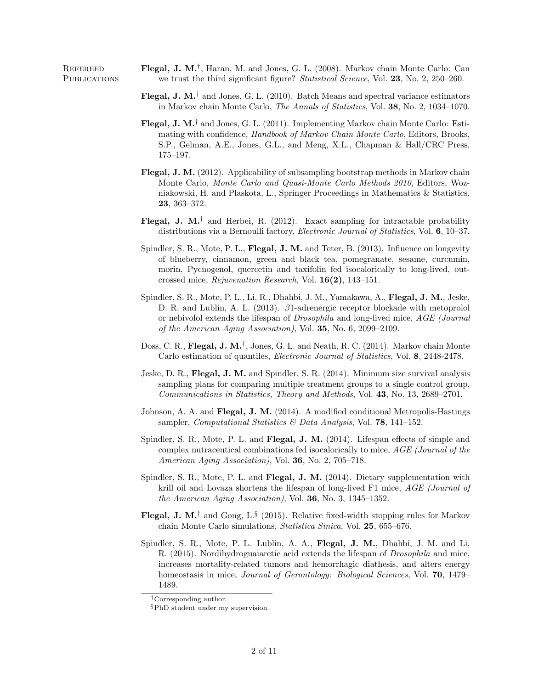REFEREED **Flegal, J. M.**<sup>†</sup>, Haran, M. and Jones, G. L. (2008). Markov chain Monte Carlo: Can PUBLICATIONS we trust the third significant figure? Statistical Science, Vol. 23, No. 2, 250–260.

- **Flegal, J. M.**<sup>†</sup> and Jones, G. L. (2010). Batch Means and spectral variance estimators in Markov chain Monte Carlo, The Annals of Statistics, Vol. 38, No. 2, 1034–1070.
- **Flegal, J. M.**<sup>†</sup> and Jones, G. L. (2011). Implementing Markov chain Monte Carlo: Estimating with confidence, Handbook of Markov Chain Monte Carlo, Editors, Brooks, S.P., Gelman, A.E., Jones, G.L., and Meng, X.L., Chapman & Hall/CRC Press, 175–197.
- Flegal, J. M. (2012). Applicability of subsampling bootstrap methods in Markov chain Monte Carlo, Monte Carlo and Quasi-Monte Carlo Methods 2010, Editors, Wozniakowski, H. and Plaskota, L., Springer Proceedings in Mathematics & Statistics, 23, 363–372.
- **Flegal, J. M.**<sup>†</sup> and Herbei, R. (2012). Exact sampling for intractable probability distributions via a Bernoulli factory, *Electronic Journal of Statistics*, Vol. 6, 10–37.
- Spindler, S. R., Mote, P. L., Flegal, J. M. and Teter, B. (2013). Influence on longevity of blueberry, cinnamon, green and black tea, pomegranate, sesame, curcumin, morin, Pycnogenol, quercetin and taxifolin fed isocalorically to long-lived, outcrossed mice, Rejuvenation Research, Vol. 16(2), 143–151.
- Spindler, S. R., Mote, P. L., Li, R., Dhahbi, J. M., Yamakawa, A., Flegal, J. M., Jeske, D. R. and Lublin, A. L. (2013). β1-adrenergic receptor blockade with metoprolol or nebivolol extends the lifespan of Drosophila and long-lived mice, AGE (Journal of the American Aging Association), Vol. 35, No. 6, 2099–2109.
- Doss, C. R., Flegal, J. M.<sup>†</sup>, Jones, G. L. and Neath, R. C. (2014). Markov chain Monte Carlo estimation of quantiles, Electronic Journal of Statistics, Vol. 8, 2448-2478.
- Jeske, D. R., Flegal, J. M. and Spindler, S. R. (2014). Minimum size survival analysis sampling plans for comparing multiple treatment groups to a single control group, Communications in Statistics, Theory and Methods, Vol. 43, No. 13, 2689–2701.
- Johnson, A. A. and Flegal, J. M. (2014). A modified conditional Metropolis-Hastings sampler, Computational Statistics & Data Analysis, Vol. **78**, 141–152.
- Spindler, S. R., Mote, P. L. and Flegal, J. M. (2014). Lifespan effects of simple and complex nutraceutical combinations fed isocalorically to mice, AGE (Journal of the American Aging Association), Vol. 36, No. 2, 705–718.
- Spindler, S. R., Mote, P. L. and Flegal, J. M. (2014). Dietary supplementation with krill oil and Lovaza shortens the lifespan of long-lived F1 mice, AGE (Journal of the American Aging Association), Vol. 36, No. 3, 1345–1352.
- **Flegal, J. M.**<sup>†</sup> and Gong, L.<sup>§</sup> (2015). Relative fixed-width stopping rules for Markov chain Monte Carlo simulations, Statistica Sinica, Vol. 25, 655–676.
- Spindler, S. R., Mote, P. L. Lublin, A. A., Flegal, J. M., Dhahbi, J. M. and Li, R. (2015). Nordihydroguaiaretic acid extends the lifespan of Drosophila and mice, increases mortality-related tumors and hemorrhagic diathesis, and alters energy homeostasis in mice, *Journal of Gerontology: Biological Sciences*, Vol. **70**, 1479– 1489.

<sup>†</sup>Corresponding author.

<sup>§</sup>PhD student under my supervision.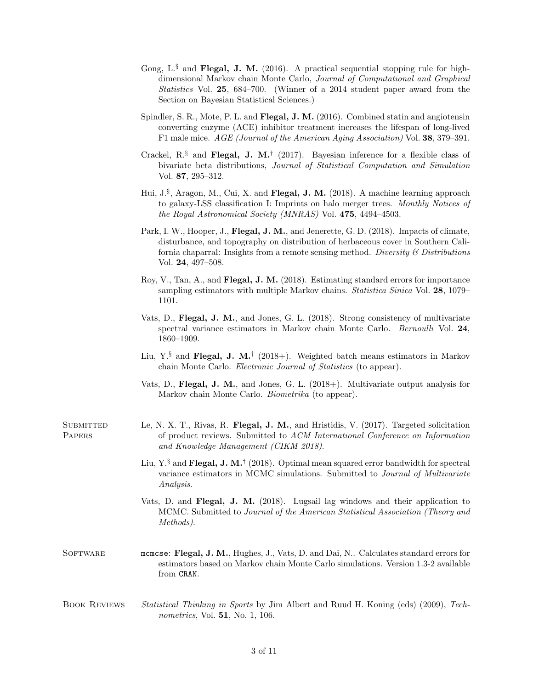- Gong, L. $\S$  and Flegal, J. M. (2016). A practical sequential stopping rule for highdimensional Markov chain Monte Carlo, Journal of Computational and Graphical Statistics Vol. 25, 684–700. (Winner of a 2014 student paper award from the Section on Bayesian Statistical Sciences.)
- Spindler, S. R., Mote, P. L. and Flegal, J. M. (2016). Combined statin and angiotensin converting enzyme (ACE) inhibitor treatment increases the lifespan of long-lived F1 male mice. AGE (Journal of the American Aging Association) Vol. 38, 379–391.
- Crackel, R.<sup>§</sup> and Flegal, J. M.<sup>†</sup> (2017). Bayesian inference for a flexible class of bivariate beta distributions, Journal of Statistical Computation and Simulation Vol. 87, 295–312.
- Hui, J.<sup>§</sup>, Aragon, M., Cui, X. and Flegal, J. M. (2018). A machine learning approach to galaxy-LSS classification I: Imprints on halo merger trees. Monthly Notices of the Royal Astronomical Society (MNRAS) Vol. 475, 4494–4503.
- Park, I. W., Hooper, J., Flegal, J. M., and Jenerette, G. D. (2018). Impacts of climate, disturbance, and topography on distribution of herbaceous cover in Southern California chaparral: Insights from a remote sensing method. Diversity  $\mathcal B$  Distributions Vol. 24, 497–508.
- Roy, V., Tan, A., and Flegal, J. M. (2018). Estimating standard errors for importance sampling estimators with multiple Markov chains. *Statistica Sinica* Vol. 28, 1079– 1101.
- Vats, D., Flegal, J. M., and Jones, G. L. (2018). Strong consistency of multivariate spectral variance estimators in Markov chain Monte Carlo. Bernoulli Vol. 24, 1860–1909.
- Liu, Y.<sup>§</sup> and Flegal, J. M.<sup>†</sup> (2018+). Weighted batch means estimators in Markov chain Monte Carlo. Electronic Journal of Statistics (to appear).
- Vats, D., Flegal, J. M., and Jones, G. L. (2018+). Multivariate output analysis for Markov chain Monte Carlo. Biometrika (to appear).
- SUBMITTED Le, N. X. T., Rivas, R. Flegal, J. M., and Hristidis, V. (2017). Targeted solicitation PAPERS of product reviews. Submitted to ACM International Conference on Information and Knowledge Management (CIKM 2018).
	- Liu, Y. $\frac{8}{3}$  and Flegal, J. M.<sup>†</sup> (2018). Optimal mean squared error bandwidth for spectral variance estimators in MCMC simulations. Submitted to Journal of Multivariate Analysis.
	- Vats, D. and Flegal, J. M. (2018). Lugsail lag windows and their application to MCMC. Submitted to Journal of the American Statistical Association (Theory and Methods).
- SOFTWARE mcmcse: Flegal, J. M., Hughes, J., Vats, D. and Dai, N.. Calculates standard errors for estimators based on Markov chain Monte Carlo simulations. Version 1.3-2 available from CRAN.
- Book Reviews Statistical Thinking in Sports by Jim Albert and Ruud H. Koning (eds) (2009), Technometrics, Vol. 51, No. 1, 106.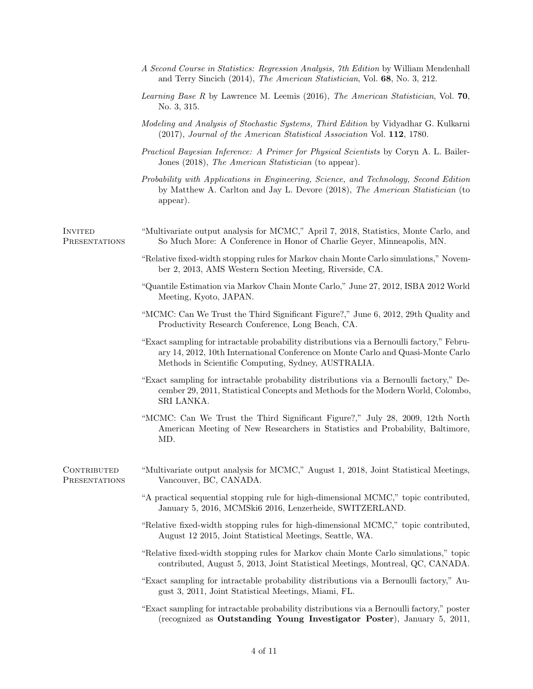|                              | A Second Course in Statistics: Regression Analysis, 7th Edition by William Mendenhall<br>and Terry Sincich (2014), The American Statistician, Vol. 68, No. 3, 212.                                                                    |
|------------------------------|---------------------------------------------------------------------------------------------------------------------------------------------------------------------------------------------------------------------------------------|
|                              | Learning Base R by Lawrence M. Leemis (2016), The American Statistician, Vol. 70,<br>No. 3, 315.                                                                                                                                      |
|                              | Modeling and Analysis of Stochastic Systems, Third Edition by Vidyadhar G. Kulkarni<br>(2017), Journal of the American Statistical Association Vol. 112, 1780.                                                                        |
|                              | Practical Bayesian Inference: A Primer for Physical Scientists by Coryn A. L. Bailer-<br>Jones (2018), The American Statistician (to appear).                                                                                         |
|                              | Probability with Applications in Engineering, Science, and Technology, Second Edition<br>by Matthew A. Carlton and Jay L. Devore (2018), The American Statistician (to<br>appear).                                                    |
| Invited<br>PRESENTATIONS     | "Multivariate output analysis for MCMC," April 7, 2018, Statistics, Monte Carlo, and<br>So Much More: A Conference in Honor of Charlie Geyer, Minneapolis, MN.                                                                        |
|                              | "Relative fixed-width stopping rules for Markov chain Monte Carlo simulations," Novem-<br>ber 2, 2013, AMS Western Section Meeting, Riverside, CA.                                                                                    |
|                              | "Quantile Estimation via Markov Chain Monte Carlo," June 27, 2012, ISBA 2012 World<br>Meeting, Kyoto, JAPAN.                                                                                                                          |
|                              | "MCMC: Can We Trust the Third Significant Figure?," June 6, 2012, 29th Quality and<br>Productivity Research Conference, Long Beach, CA.                                                                                               |
|                              | "Exact sampling for intractable probability distributions via a Bernoulli factory," Febru-<br>ary 14, 2012, 10th International Conference on Monte Carlo and Quasi-Monte Carlo<br>Methods in Scientific Computing, Sydney, AUSTRALIA. |
|                              | "Exact sampling for intractable probability distributions via a Bernoulli factory," De-<br>cember 29, 2011, Statistical Concepts and Methods for the Modern World, Colombo,<br>SRI LANKA.                                             |
|                              | "MCMC: Can We Trust the Third Significant Figure?," July 28, 2009, 12th North<br>American Meeting of New Researchers in Statistics and Probability, Baltimore,<br>MD.                                                                 |
| CONTRIBUTED<br>PRESENTATIONS | "Multivariate output analysis for MCMC," August 1, 2018, Joint Statistical Meetings,<br>Vancouver, BC, CANADA.                                                                                                                        |
|                              | "A practical sequential stopping rule for high-dimensional MCMC," topic contributed,<br>January 5, 2016, MCMSki6 2016, Lenzerheide, SWITZERLAND.                                                                                      |
|                              | "Relative fixed-width stopping rules for high-dimensional MCMC," topic contributed,<br>August 12 2015, Joint Statistical Meetings, Seattle, WA.                                                                                       |
|                              | "Relative fixed-width stopping rules for Markov chain Monte Carlo simulations," topic<br>contributed, August 5, 2013, Joint Statistical Meetings, Montreal, QC, CANADA.                                                               |
|                              | "Exact sampling for intractable probability distributions via a Bernoulli factory," Au-<br>gust 3, 2011, Joint Statistical Meetings, Miami, FL.                                                                                       |
|                              | "Exact sampling for intractable probability distributions via a Bernoulli factory," poster<br>(recognized as Outstanding Young Investigator Poster), January 5, 2011,                                                                 |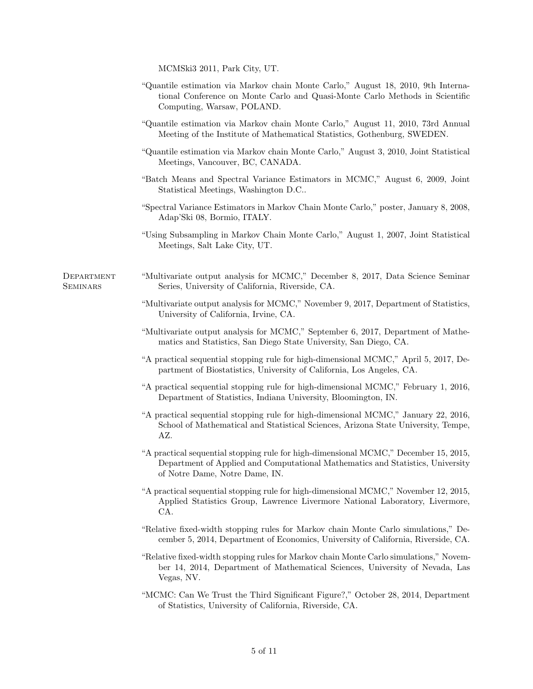MCMSki3 2011, Park City, UT.

- "Quantile estimation via Markov chain Monte Carlo," August 18, 2010, 9th International Conference on Monte Carlo and Quasi-Monte Carlo Methods in Scientific Computing, Warsaw, POLAND.
- "Quantile estimation via Markov chain Monte Carlo," August 11, 2010, 73rd Annual Meeting of the Institute of Mathematical Statistics, Gothenburg, SWEDEN.
- "Quantile estimation via Markov chain Monte Carlo," August 3, 2010, Joint Statistical Meetings, Vancouver, BC, CANADA.
- "Batch Means and Spectral Variance Estimators in MCMC," August 6, 2009, Joint Statistical Meetings, Washington D.C..
- "Spectral Variance Estimators in Markov Chain Monte Carlo," poster, January 8, 2008, Adap'Ski 08, Bormio, ITALY.
- "Using Subsampling in Markov Chain Monte Carlo," August 1, 2007, Joint Statistical Meetings, Salt Lake City, UT.

- Department "Multivariate output analysis for MCMC," December 8, 2017, Data Science Seminar SEMINARS Series, University of California, Riverside, CA.
	- "Multivariate output analysis for MCMC," November 9, 2017, Department of Statistics, University of California, Irvine, CA.
	- "Multivariate output analysis for MCMC," September 6, 2017, Department of Mathematics and Statistics, San Diego State University, San Diego, CA.
	- "A practical sequential stopping rule for high-dimensional MCMC," April 5, 2017, Department of Biostatistics, University of California, Los Angeles, CA.
	- "A practical sequential stopping rule for high-dimensional MCMC," February 1, 2016, Department of Statistics, Indiana University, Bloomington, IN.
	- "A practical sequential stopping rule for high-dimensional MCMC," January 22, 2016, School of Mathematical and Statistical Sciences, Arizona State University, Tempe, AZ.
	- "A practical sequential stopping rule for high-dimensional MCMC," December 15, 2015, Department of Applied and Computational Mathematics and Statistics, University of Notre Dame, Notre Dame, IN.
	- "A practical sequential stopping rule for high-dimensional MCMC," November 12, 2015, Applied Statistics Group, Lawrence Livermore National Laboratory, Livermore, CA.
	- "Relative fixed-width stopping rules for Markov chain Monte Carlo simulations," December 5, 2014, Department of Economics, University of California, Riverside, CA.
	- "Relative fixed-width stopping rules for Markov chain Monte Carlo simulations," November 14, 2014, Department of Mathematical Sciences, University of Nevada, Las Vegas, NV.
	- "MCMC: Can We Trust the Third Significant Figure?," October 28, 2014, Department of Statistics, University of California, Riverside, CA.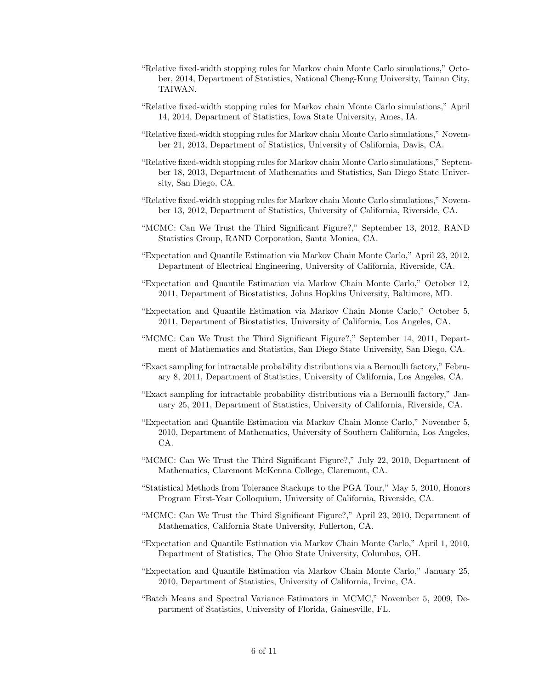- "Relative fixed-width stopping rules for Markov chain Monte Carlo simulations," October, 2014, Department of Statistics, National Cheng-Kung University, Tainan City, TAIWAN.
- "Relative fixed-width stopping rules for Markov chain Monte Carlo simulations," April 14, 2014, Department of Statistics, Iowa State University, Ames, IA.
- "Relative fixed-width stopping rules for Markov chain Monte Carlo simulations," November 21, 2013, Department of Statistics, University of California, Davis, CA.
- "Relative fixed-width stopping rules for Markov chain Monte Carlo simulations," September 18, 2013, Department of Mathematics and Statistics, San Diego State University, San Diego, CA.
- "Relative fixed-width stopping rules for Markov chain Monte Carlo simulations," November 13, 2012, Department of Statistics, University of California, Riverside, CA.
- "MCMC: Can We Trust the Third Significant Figure?," September 13, 2012, RAND Statistics Group, RAND Corporation, Santa Monica, CA.
- "Expectation and Quantile Estimation via Markov Chain Monte Carlo," April 23, 2012, Department of Electrical Engineering, University of California, Riverside, CA.
- "Expectation and Quantile Estimation via Markov Chain Monte Carlo," October 12, 2011, Department of Biostatistics, Johns Hopkins University, Baltimore, MD.
- "Expectation and Quantile Estimation via Markov Chain Monte Carlo," October 5, 2011, Department of Biostatistics, University of California, Los Angeles, CA.
- "MCMC: Can We Trust the Third Significant Figure?," September 14, 2011, Department of Mathematics and Statistics, San Diego State University, San Diego, CA.
- "Exact sampling for intractable probability distributions via a Bernoulli factory," February 8, 2011, Department of Statistics, University of California, Los Angeles, CA.
- "Exact sampling for intractable probability distributions via a Bernoulli factory," January 25, 2011, Department of Statistics, University of California, Riverside, CA.
- "Expectation and Quantile Estimation via Markov Chain Monte Carlo," November 5, 2010, Department of Mathematics, University of Southern California, Los Angeles, CA.
- "MCMC: Can We Trust the Third Significant Figure?," July 22, 2010, Department of Mathematics, Claremont McKenna College, Claremont, CA.
- "Statistical Methods from Tolerance Stackups to the PGA Tour," May 5, 2010, Honors Program First-Year Colloquium, University of California, Riverside, CA.
- "MCMC: Can We Trust the Third Significant Figure?," April 23, 2010, Department of Mathematics, California State University, Fullerton, CA.
- "Expectation and Quantile Estimation via Markov Chain Monte Carlo," April 1, 2010, Department of Statistics, The Ohio State University, Columbus, OH.
- "Expectation and Quantile Estimation via Markov Chain Monte Carlo," January 25, 2010, Department of Statistics, University of California, Irvine, CA.
- "Batch Means and Spectral Variance Estimators in MCMC," November 5, 2009, Department of Statistics, University of Florida, Gainesville, FL.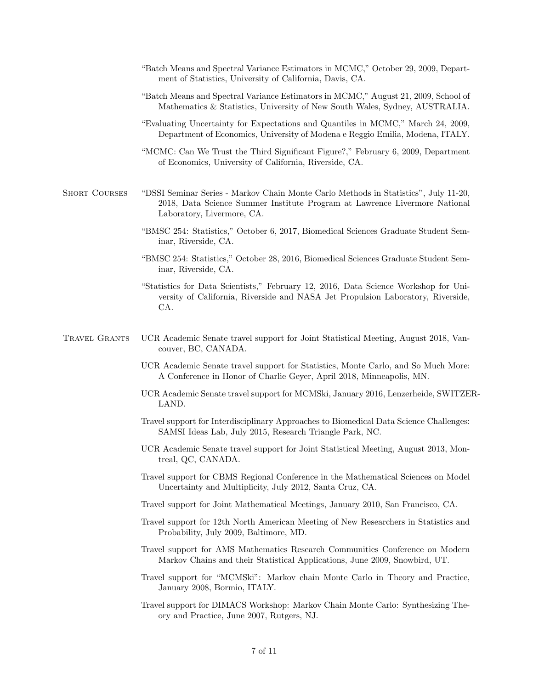- "Batch Means and Spectral Variance Estimators in MCMC," October 29, 2009, Department of Statistics, University of California, Davis, CA.
- "Batch Means and Spectral Variance Estimators in MCMC," August 21, 2009, School of Mathematics & Statistics, University of New South Wales, Sydney, AUSTRALIA.
- "Evaluating Uncertainty for Expectations and Quantiles in MCMC," March 24, 2009, Department of Economics, University of Modena e Reggio Emilia, Modena, ITALY.
- "MCMC: Can We Trust the Third Significant Figure?," February 6, 2009, Department of Economics, University of California, Riverside, CA.
- Short Courses "DSSI Seminar Series Markov Chain Monte Carlo Methods in Statistics", July 11-20, 2018, Data Science Summer Institute Program at Lawrence Livermore National Laboratory, Livermore, CA.
	- "BMSC 254: Statistics," October 6, 2017, Biomedical Sciences Graduate Student Seminar, Riverside, CA.
	- "BMSC 254: Statistics," October 28, 2016, Biomedical Sciences Graduate Student Seminar, Riverside, CA.
	- "Statistics for Data Scientists," February 12, 2016, Data Science Workshop for University of California, Riverside and NASA Jet Propulsion Laboratory, Riverside, CA.
- Travel Grants UCR Academic Senate travel support for Joint Statistical Meeting, August 2018, Vancouver, BC, CANADA.
	- UCR Academic Senate travel support for Statistics, Monte Carlo, and So Much More: A Conference in Honor of Charlie Geyer, April 2018, Minneapolis, MN.
	- UCR Academic Senate travel support for MCMSki, January 2016, Lenzerheide, SWITZER-LAND.
	- Travel support for Interdisciplinary Approaches to Biomedical Data Science Challenges: SAMSI Ideas Lab, July 2015, Research Triangle Park, NC.
	- UCR Academic Senate travel support for Joint Statistical Meeting, August 2013, Montreal, QC, CANADA.
	- Travel support for CBMS Regional Conference in the Mathematical Sciences on Model Uncertainty and Multiplicity, July 2012, Santa Cruz, CA.
	- Travel support for Joint Mathematical Meetings, January 2010, San Francisco, CA.
	- Travel support for 12th North American Meeting of New Researchers in Statistics and Probability, July 2009, Baltimore, MD.
	- Travel support for AMS Mathematics Research Communities Conference on Modern Markov Chains and their Statistical Applications, June 2009, Snowbird, UT.
	- Travel support for "MCMSki": Markov chain Monte Carlo in Theory and Practice, January 2008, Bormio, ITALY.
	- Travel support for DIMACS Workshop: Markov Chain Monte Carlo: Synthesizing Theory and Practice, June 2007, Rutgers, NJ.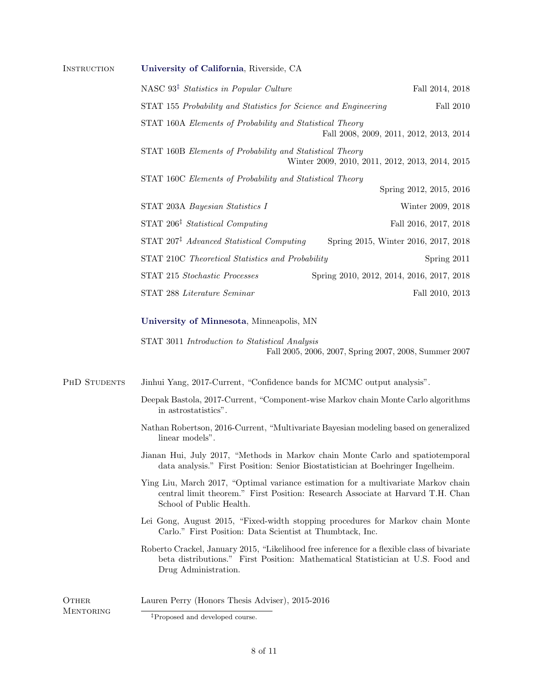| <b>INSTRUCTION</b> | University of California, Riverside, CA                                                                                                                                                           |                                                                                 |  |  |  |
|--------------------|---------------------------------------------------------------------------------------------------------------------------------------------------------------------------------------------------|---------------------------------------------------------------------------------|--|--|--|
|                    | NASC $93^{\ddagger}$ Statistics in Popular Culture                                                                                                                                                | Fall 2014, 2018                                                                 |  |  |  |
|                    | STAT 155 Probability and Statistics for Science and Engineering                                                                                                                                   | Fall 2010                                                                       |  |  |  |
|                    | STAT 160A Elements of Probability and Statistical Theory                                                                                                                                          | Fall 2008, 2009, 2011, 2012, 2013, 2014                                         |  |  |  |
|                    | STAT 160B Elements of Probability and Statistical Theory                                                                                                                                          | Winter 2009, 2010, 2011, 2012, 2013, 2014, 2015                                 |  |  |  |
|                    | STAT 160C Elements of Probability and Statistical Theory                                                                                                                                          | Spring 2012, 2015, 2016                                                         |  |  |  |
|                    | STAT 203A Bayesian Statistics I                                                                                                                                                                   | Winter 2009, 2018                                                               |  |  |  |
|                    | STAT $206^{\ddagger}$ Statistical Computing                                                                                                                                                       | Fall 2016, 2017, 2018                                                           |  |  |  |
|                    | STAT 207 <sup>‡</sup> Advanced Statistical Computing                                                                                                                                              | Spring 2015, Winter 2016, 2017, 2018                                            |  |  |  |
|                    | STAT 210C Theoretical Statistics and Probability                                                                                                                                                  | Spring 2011                                                                     |  |  |  |
|                    | STAT 215 Stochastic Processes                                                                                                                                                                     | Spring 2010, 2012, 2014, 2016, 2017, 2018                                       |  |  |  |
|                    | STAT 288 Literature Seminar                                                                                                                                                                       | Fall 2010, 2013                                                                 |  |  |  |
|                    | University of Minnesota, Minneapolis, MN                                                                                                                                                          |                                                                                 |  |  |  |
|                    | STAT 3011 Introduction to Statistical Analysis                                                                                                                                                    | Fall 2005, 2006, 2007, Spring 2007, 2008, Summer 2007                           |  |  |  |
| PHD STUDENTS       | Jinhui Yang, 2017-Current, "Confidence bands for MCMC output analysis".                                                                                                                           |                                                                                 |  |  |  |
|                    | Deepak Bastola, 2017-Current, "Component-wise Markov chain Monte Carlo algorithms"<br>in astrostatistics".                                                                                        |                                                                                 |  |  |  |
|                    | Nathan Robertson, 2016-Current, "Multivariate Bayesian modeling based on generalized<br>linear models".                                                                                           |                                                                                 |  |  |  |
|                    | Jianan Hui, July 2017, "Methods in Markov chain Monte Carlo and spatiotemporal<br>data analysis." First Position: Senior Biostatistician at Boehringer Ingelheim.                                 |                                                                                 |  |  |  |
|                    | Ying Liu, March 2017, "Optimal variance estimation for a multivariate Markov chain<br>central limit theorem." First Position: Research Associate at Harvard T.H. Chan<br>School of Public Health. |                                                                                 |  |  |  |
|                    | Lei Gong, August 2015, "Fixed-width stopping procedures for Markov chain Monte<br>Carlo." First Position: Data Scientist at Thumbtack, Inc.                                                       |                                                                                 |  |  |  |
|                    | Roberto Crackel, January 2015, "Likelihood free inference for a flexible class of bivariate<br>Drug Administration.                                                                               | beta distributions." First Position: Mathematical Statistician at U.S. Food and |  |  |  |
| <b>OTHER</b>       | Lauren Perry (Honors Thesis Adviser), 2015-2016                                                                                                                                                   |                                                                                 |  |  |  |
| <b>MENTORING</b>   | <sup>‡</sup> Proposed and developed course.                                                                                                                                                       |                                                                                 |  |  |  |

<span id="page-7-0"></span>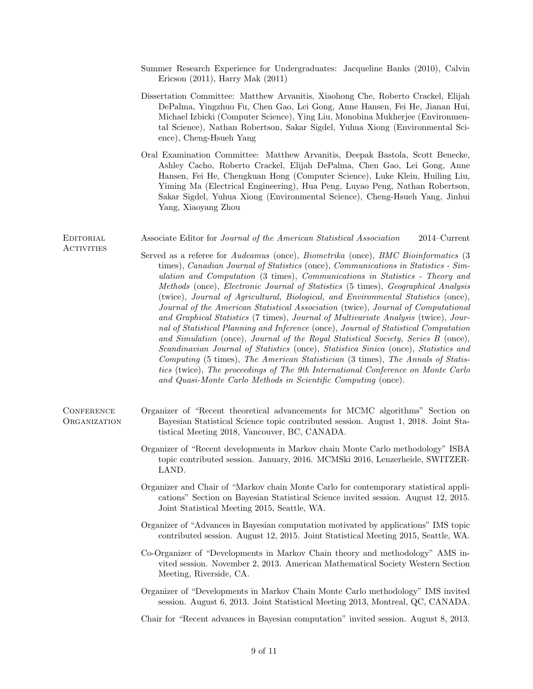- Summer Research Experience for Undergraduates: Jacqueline Banks (2010), Calvin Ericson (2011), Harry Mak (2011)
- Dissertation Committee: Matthew Arvanitis, Xiaohong Che, Roberto Crackel, Elijah DePalma, Yingzhuo Fu, Chen Gao, Lei Gong, Anne Hansen, Fei He, Jianan Hui, Michael Izbicki (Computer Science), Ying Liu, Monobina Mukherjee (Environmental Science), Nathan Robertson, Sakar Sigdel, Yuhua Xiong (Environmental Science), Cheng-Hsueh Yang
- Oral Examination Committee: Matthew Arvanitis, Deepak Bastola, Scott Benecke, Ashley Cacho, Roberto Crackel, Elijah DePalma, Chen Gao, Lei Gong, Anne Hansen, Fei He, Chengkuan Hong (Computer Science), Luke Klein, Huiling Liu, Yiming Ma (Electrical Engineering), Hua Peng, Luyao Peng, Nathan Robertson, Sakar Sigdel, Yuhua Xiong (Environmental Science), Cheng-Hsueh Yang, Jinhui Yang, Xiaoyang Zhou

EDITORIAL Associate Editor for Journal of the American Statistical Association 2014–Current

- Served as a referee for Audeamus (once), Biometrika (once), BMC Bioinformatics (3 times), Canadian Journal of Statistics (once), Communications in Statistics - Simulation and Computation (3 times), Communications in Statistics - Theory and Methods (once), Electronic Journal of Statistics (5 times), Geographical Analysis (twice), Journal of Agricultural, Biological, and Environmental Statistics (once), Journal of the American Statistical Association (twice), Journal of Computational and Graphical Statistics (7 times), Journal of Multivariate Analysis (twice), Journal of Statistical Planning and Inference (once), Journal of Statistical Computation and Simulation (once), Journal of the Royal Statistical Society, Series B (once), Scandinavian Journal of Statistics (once), Statistica Sinica (once), Statistics and Computing (5 times), The American Statistician (3 times), The Annals of Statistics (twice), The proceedings of The 9th International Conference on Monte Carlo and Quasi-Monte Carlo Methods in Scientific Computing (once).
- CONFERENCE Organizer of "Recent theoretical advancements for MCMC algorithms" Section on Organization Bayesian Statistical Science topic contributed session. August 1, 2018. Joint Statistical Meeting 2018, Vancouver, BC, CANADA.

**ACTIVITIES** 

- Organizer of "Recent developments in Markov chain Monte Carlo methodology" ISBA topic contributed session. January, 2016. MCMSki 2016, Lenzerheide, SWITZER-LAND.
- Organizer and Chair of "Markov chain Monte Carlo for contemporary statistical applications" Section on Bayesian Statistical Science invited session. August 12, 2015. Joint Statistical Meeting 2015, Seattle, WA.
- Organizer of "Advances in Bayesian computation motivated by applications" IMS topic contributed session. August 12, 2015. Joint Statistical Meeting 2015, Seattle, WA.
- Co-Organizer of "Developments in Markov Chain theory and methodology" AMS invited session. November 2, 2013. American Mathematical Society Western Section Meeting, Riverside, CA.
- Organizer of "Developments in Markov Chain Monte Carlo methodology" IMS invited session. August 6, 2013. Joint Statistical Meeting 2013, Montreal, QC, CANADA.

Chair for "Recent advances in Bayesian computation" invited session. August 8, 2013.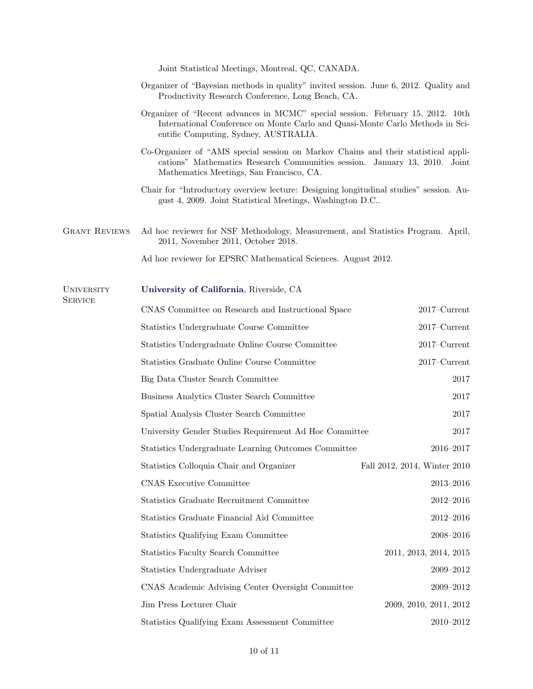Joint Statistical Meetings, Montreal, QC, CANADA.

- Organizer of "Bayesian methods in quality" invited session. June 6, 2012. Quality and Productivity Research Conference, Long Beach, CA.
- Organizer of "Recent advances in MCMC" special session. February 15, 2012. 10th International Conference on Monte Carlo and Quasi-Monte Carlo Methods in Scientific Computing, Sydney, AUSTRALIA.
- Co-Organizer of "AMS special session on Markov Chains and their statistical applications" Mathematics Research Communities session. January 13, 2010. Joint Mathematics Meetings, San Francisco, CA.
- Chair for "Introductory overview lecture: Designing longitudinal studies" session. August 4, 2009. Joint Statistical Meetings, Washington D.C..
- Grant Reviews Ad hoc reviewer for NSF Methodology, Measurement, and Statistics Program. April, 2011, November 2011, October 2018.

| Ad hoc reviewer for EPSRC Mathematical Sciences. August 2012. |  |  |  |  |  |  |
|---------------------------------------------------------------|--|--|--|--|--|--|
|---------------------------------------------------------------|--|--|--|--|--|--|

## University [University of California](http://www.ucr.edu), Riverside, CA

**SERVICE** 

| CNAS Committee on Research and Instructional Space     | $2017$ – $Current$           |
|--------------------------------------------------------|------------------------------|
| Statistics Undergraduate Course Committee              | $2017$ – $Current$           |
| Statistics Undergraduate Online Course Committee       | $2017$ – $Current$           |
| Statistics Graduate Online Course Committee            | $2017$ – $Current$           |
| Big Data Cluster Search Committee                      | $2017\,$                     |
| Business Analytics Cluster Search Committee            | $2017\,$                     |
| Spatial Analysis Cluster Search Committee              | 2017                         |
| University Gender Studies Requirement Ad Hoc Committee | 2017                         |
| Statistics Undergraduate Learning Outcomes Committee   | 2016-2017                    |
| Statistics Colloquia Chair and Organizer               | Fall 2012, 2014, Winter 2010 |
| <b>CNAS Executive Committee</b>                        | $2013 - 2016$                |
| Statistics Graduate Recruitment Committee              | $2012 - 2016$                |
| Statistics Graduate Financial Aid Committee            | $2012 - 2016$                |
| Statistics Qualifying Exam Committee                   | $2008 - 2016$                |
| <b>Statistics Faculty Search Committee</b>             | 2011, 2013, 2014, 2015       |
| Statistics Undergraduate Adviser                       | $2009 - 2012$                |
| CNAS Academic Advising Center Oversight Committee      | 2009-2012                    |
| Jim Press Lecturer Chair                               | 2009, 2010, 2011, 2012       |
| Statistics Qualifying Exam Assessment Committee        | 2010-2012                    |